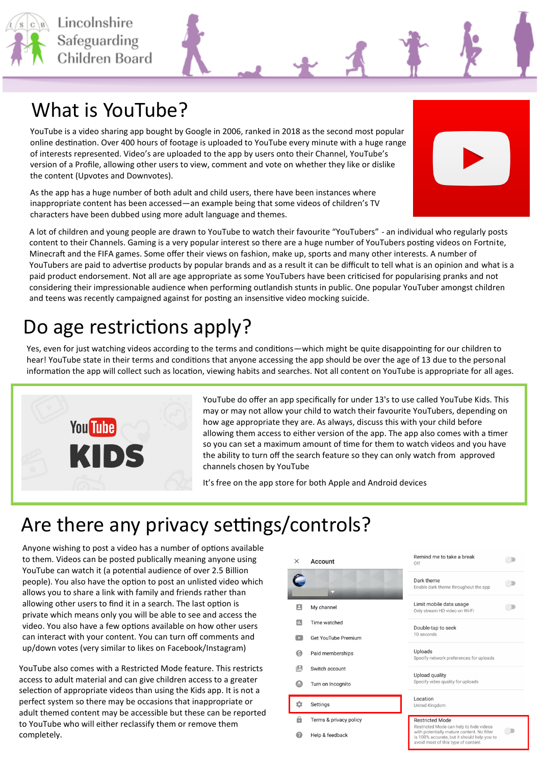

#### What is YouTube?

YouTube is a video sharing app bought by Google in 2006, ranked in 2018 as the second most popular online destination. Over 400 hours of footage is uploaded to YouTube every minute with a huge range of interests represented. Video's are uploaded to the app by users onto their Channel, YouTube's version of a Profile, allowing other users to view, comment and vote on whether they like or dislike the content (Upvotes and Downvotes).

As the app has a huge number of both adult and child users, there have been instances where inappropriate content has been accessed—an example being that some videos of children's TV characters have been dubbed using more adult language and themes.



A lot of children and young people are drawn to YouTube to watch their favourite "YouTubers" - an individual who regularly posts content to their Channels. Gaming is a very popular interest so there are a huge number of YouTubers posting videos on Fortnite, Minecraft and the FIFA games. Some offer their views on fashion, make up, sports and many other interests. A number of YouTubers are paid to advertise products by popular brands and as a result it can be difficult to tell what is an opinion and what is a paid product endorsement. Not all are age appropriate as some YouTubers have been criticised for popularising pranks and not considering their impressionable audience when performing outlandish stunts in public. One popular YouTuber amongst children and teens was recently campaigned against for posting an insensitive video mocking suicide.

## Do age restrictions apply?

Yes, even for just watching videos according to the terms and conditions—which might be quite disappointing for our children to hear! YouTube state in their terms and conditions that anyone accessing the app should be over the age of 13 due to the personal information the app will collect such as location, viewing habits and searches. Not all content on YouTube is appropriate for all ages.



YouTube do offer an app specifically for under 13's to use called YouTube Kids. This may or may not allow your child to watch their favourite YouTubers, depending on how age appropriate they are. As always, discuss this with your child before allowing them access to either version of the app. The app also comes with a timer so you can set a maximum amount of time for them to watch videos and you have the ability to turn off the search feature so they can only watch from approved channels chosen by YouTube

It's free on the app store for both Apple and Android devices

# Are there any privacy settings/controls?

Anyone wishing to post a video has a number of options available to them. Videos can be posted publically meaning anyone using YouTube can watch it (a potential audience of over 2.5 Billion people). You also have the option to post an unlisted video which allows you to share a link with family and friends rather than allowing other users to find it in a search. The last option is private which means only you will be able to see and access the video. You also have a few options available on how other users can interact with your content. You can turn off comments and up/down votes (very similar to likes on Facebook/Instagram)

YouTube also comes with a Restricted Mode feature. This restricts access to adult material and can give children access to a greater selection of appropriate videos than using the Kids app. It is not a perfect system so there may be occasions that inappropriate or adult themed content may be accessible but these can be reported to YouTube who will either reclassify them or remove them completely.

| ×    | Account                | Remind me to take a break<br>Off                                                                                                                                            |  |
|------|------------------------|-----------------------------------------------------------------------------------------------------------------------------------------------------------------------------|--|
|      |                        | Dark theme<br>Enable dark theme throughout the app                                                                                                                          |  |
| R    | My channel             | Limit mobile data usage<br>Only stream HD video on Wi-Fi                                                                                                                    |  |
| Ш    | Time watched           | Double-tap to seek                                                                                                                                                          |  |
|      | Get YouTube Premium    | 10 seconds                                                                                                                                                                  |  |
| ⊖    | Paid memberships       | Uploads<br>Specify network preferences for uploads                                                                                                                          |  |
| ıВ   | Switch account         |                                                                                                                                                                             |  |
| Free | Turn on Incognito      | Upload quality<br>Specify video quality for uploads                                                                                                                         |  |
| o    | Settings               | Location<br>United Kingdom                                                                                                                                                  |  |
| A    | Terms & privacy policy | <b>Restricted Mode</b>                                                                                                                                                      |  |
|      | Help & feedback        | Restricted Mode can help to hide videos<br>with potentially mature content. No filter<br>is 100% accurate, but it should help you to<br>avoid most of this type of content. |  |